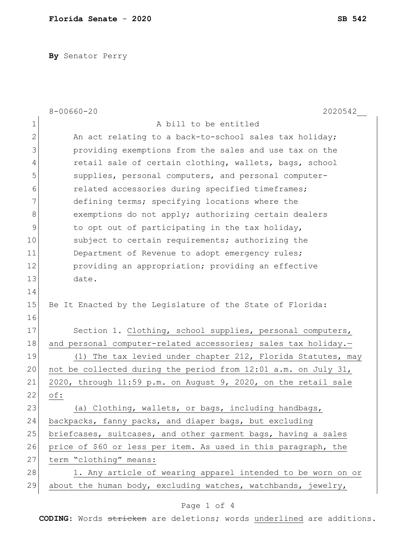**By** Senator Perry

|               | $8 - 00660 - 20$<br>2020542                                    |
|---------------|----------------------------------------------------------------|
| $\mathbf 1$   | A bill to be entitled                                          |
| $\mathbf{2}$  | An act relating to a back-to-school sales tax holiday;         |
| 3             | providing exemptions from the sales and use tax on the         |
| 4             | retail sale of certain clothing, wallets, bags, school         |
| 5             | supplies, personal computers, and personal computer-           |
| 6             | related accessories during specified timeframes;               |
| 7             | defining terms; specifying locations where the                 |
| 8             | exemptions do not apply; authorizing certain dealers           |
| $\mathcal{G}$ | to opt out of participating in the tax holiday,                |
| 10            | subject to certain requirements; authorizing the               |
| 11            | Department of Revenue to adopt emergency rules;                |
| 12            | providing an appropriation; providing an effective             |
| 13            | date.                                                          |
| 14            |                                                                |
| 15            | Be It Enacted by the Legislature of the State of Florida:      |
| 16            |                                                                |
| 17            | Section 1. Clothing, school supplies, personal computers,      |
| 18            | and personal computer-related accessories; sales tax holiday.- |
| 19            | (1) The tax levied under chapter 212, Florida Statutes, may    |
| 20            | not be collected during the period from 12:01 a.m. on July 31, |
| 21            | 2020, through 11:59 p.m. on August 9, 2020, on the retail sale |
| 22            | of:                                                            |
| 23            | (a) Clothing, wallets, or bags, including handbags,            |
| 24            | backpacks, fanny packs, and diaper bags, but excluding         |
| 25            | briefcases, suitcases, and other garment bags, having a sales  |
| 26            | price of \$60 or less per item. As used in this paragraph, the |
| 27            | term "clothing" means:                                         |
| 28            | 1. Any article of wearing apparel intended to be worn on or    |
| 29            | about the human body, excluding watches, watchbands, jewelry,  |
|               |                                                                |

## Page 1 of 4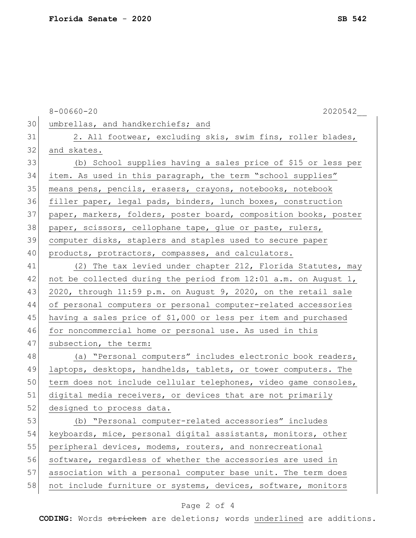8-00660-20 2020542 30 umbrellas, and handkerchiefs; and 31 2. All footwear, excluding skis, swim fins, roller blades, 32 and skates. 33 (b) School supplies having a sales price of \$15 or less per 34 item. As used in this paragraph, the term "school supplies" 35 means pens, pencils, erasers, crayons, notebooks, notebook 36 filler paper, legal pads, binders, lunch boxes, construction 37 paper, markers, folders, poster board, composition books, poster 38 paper, scissors, cellophane tape, glue or paste, rulers, 39 computer disks, staplers and staples used to secure paper 40 products, protractors, compasses, and calculators. 41 (2) The tax levied under chapter 212, Florida Statutes, may 42 not be collected during the period from 12:01 a.m. on August 1, 43 2020, through 11:59 p.m. on August 9, 2020, on the retail sale 44 of personal computers or personal computer-related accessories 45 having a sales price of \$1,000 or less per item and purchased 46 for noncommercial home or personal use. As used in this 47 subsection, the term: 48 (a) "Personal computers" includes electronic book readers, 49 laptops, desktops, handhelds, tablets, or tower computers. The 50 term does not include cellular telephones, video game consoles, 51 digital media receivers, or devices that are not primarily 52 designed to process data. 53 (b) "Personal computer-related accessories" includes 54 keyboards, mice, personal digital assistants, monitors, other 55 peripheral devices, modems, routers, and nonrecreational 56 software, regardless of whether the accessories are used in 57 association with a personal computer base unit. The term does 58 not include furniture or systems, devices, software, monitors

## Page 2 of 4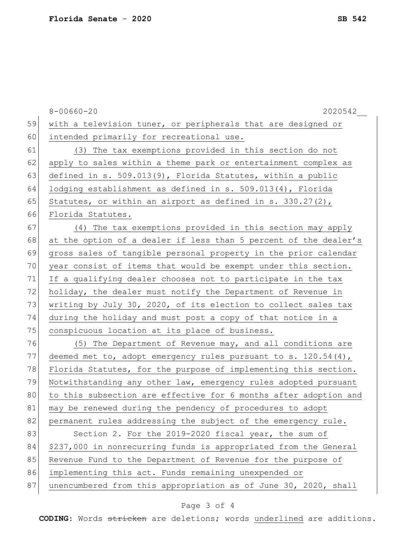|    | $8 - 00660 - 20$<br>$2020542$ <sub>__</sub>                       |
|----|-------------------------------------------------------------------|
| 59 | with a television tuner, or peripherals that are designed or      |
| 60 | intended primarily for recreational use.                          |
| 61 | (3) The tax exemptions provided in this section do not            |
| 62 | apply to sales within a theme park or entertainment complex as    |
| 63 | defined in s. 509.013(9), Florida Statutes, within a public       |
| 64 | lodging establishment as defined in $s. 509.013(4)$ , Florida     |
| 65 | Statutes, or within an airport as defined in s. $330.27(2)$ ,     |
| 66 | Florida Statutes.                                                 |
| 67 | (4) The tax exemptions provided in this section may apply         |
| 68 | at the option of a dealer if less than 5 percent of the dealer's  |
| 69 | gross sales of tangible personal property in the prior calendar   |
| 70 | year consist of items that would be exempt under this section.    |
| 71 | If a qualifying dealer chooses not to participate in the tax      |
| 72 | holiday, the dealer must notify the Department of Revenue in      |
| 73 | writing by July 30, 2020, of its election to collect sales tax    |
| 74 | during the holiday and must post a copy of that notice in a       |
| 75 | conspicuous location at its place of business.                    |
| 76 | (5) The Department of Revenue may, and all conditions are         |
| 77 | deemed met to, adopt emergency rules pursuant to s. $120.54(4)$ , |
| 78 | Florida Statutes, for the purpose of implementing this section.   |
| 79 | Notwithstanding any other law, emergency rules adopted pursuant   |
| 80 | to this subsection are effective for 6 months after adoption and  |
| 81 | may be renewed during the pendency of procedures to adopt         |
| 82 | permanent rules addressing the subject of the emergency rule.     |
| 83 | Section 2. For the 2019-2020 fiscal year, the sum of              |
| 84 | \$237,000 in nonrecurring funds is appropriated from the General  |
| 85 | Revenue Fund to the Department of Revenue for the purpose of      |
| 86 | implementing this act. Funds remaining unexpended or              |
| 87 | unencumbered from this appropriation as of June 30, 2020, shall   |

## Page 3 of 4